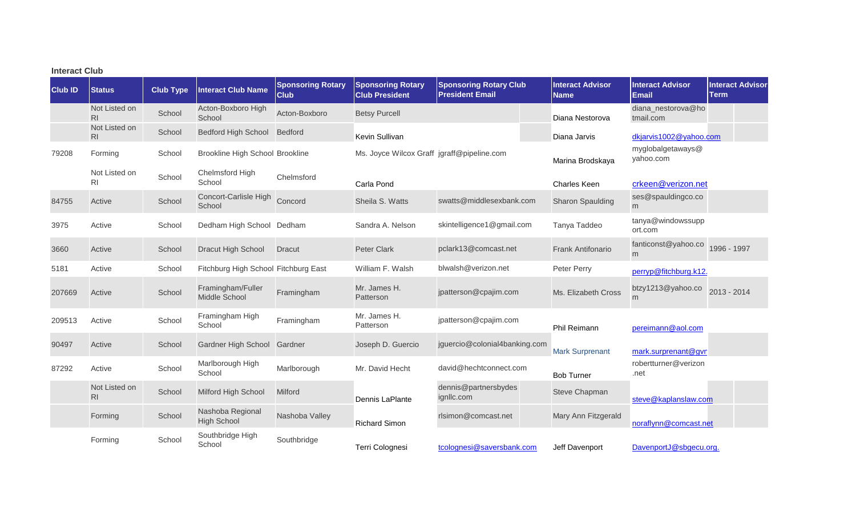| <b>Interact Club</b> |                                 |                  |                                        |                                         |                                                   |                                                         |                                        |                                         |                                 |
|----------------------|---------------------------------|------------------|----------------------------------------|-----------------------------------------|---------------------------------------------------|---------------------------------------------------------|----------------------------------------|-----------------------------------------|---------------------------------|
| <b>Club ID</b>       | <b>Status</b>                   | <b>Club Type</b> | Interact Club Name                     | <b>Sponsoring Rotary</b><br><b>Club</b> | <b>Sponsoring Rotary</b><br><b>Club President</b> | <b>Sponsoring Rotary Club</b><br><b>President Email</b> | <b>Interact Advisor</b><br><b>Name</b> | <b>Interact Advisor</b><br><b>Email</b> | <b>Interact Advisor</b><br>Term |
|                      | Not Listed on<br>R <sub>l</sub> | School           | Acton-Boxboro High<br>School           | Acton-Boxboro                           | <b>Betsy Purcell</b>                              |                                                         | Diana Nestorova                        | diana nestorova@ho<br>tmail.com         |                                 |
|                      | Not Listed on<br>R <sub>l</sub> | School           | <b>Bedford High School</b>             | Bedford                                 | Kevin Sullivan                                    |                                                         | Diana Jarvis                           | dkjarvis1002@yahoo.com                  |                                 |
| 79208                | Forming                         | School           | Brookline High School Brookline        |                                         | Ms. Joyce Wilcox Graff jgraff@pipeline.com        |                                                         | Marina Brodskaya                       | myglobalgetaways@<br>yahoo.com          |                                 |
|                      | Not Listed on<br>R <sub>1</sub> | School           | Chelmsford High<br>School              | Chelmsford                              | Carla Pond                                        |                                                         | Charles Keen                           | crkeen@verizon.net                      |                                 |
| 84755                | Active                          | School           | Concort-Carlisle High<br>School        | Concord                                 | Sheila S. Watts                                   | swatts@middlesexbank.com                                | Sharon Spaulding                       | ses@spauldingco.co<br>m                 |                                 |
| 3975                 | Active                          | School           | Dedham High School Dedham              |                                         | Sandra A. Nelson                                  | skintelligence1@gmail.com                               | Tanya Taddeo                           | tanya@windowssupp<br>ort.com            |                                 |
| 3660                 | Active                          | School           | Dracut High School                     | <b>Dracut</b>                           | <b>Peter Clark</b>                                | pclark13@comcast.net                                    | <b>Frank Antifonario</b>               | fanticonst@yahoo.co 1996 - 1997<br>m    |                                 |
| 5181                 | Active                          | School           | Fitchburg High School Fitchburg East   |                                         | William F. Walsh                                  | blwalsh@verizon.net                                     | Peter Perry                            | perryp@fitchburg.k12.                   |                                 |
| 207669               | Active                          | School           | Framingham/Fuller<br>Middle School     | Framingham                              | Mr. James H.<br>Patterson                         | jpatterson@cpajim.com                                   | Ms. Elizabeth Cross                    | btzy1213@yahoo.co<br>m.                 | 2013 - 2014                     |
| 209513               | Active                          | School           | Framingham High<br>School              | Framingham                              | Mr. James H.<br>Patterson                         | jpatterson@cpajim.com                                   | Phil Reimann                           | pereimann@aol.com                       |                                 |
| 90497                | Active                          | School           | Gardner High School                    | Gardner                                 | Joseph D. Guercio                                 | jguercio@colonial4banking.com                           | <b>Mark Surprenant</b>                 | mark.surprenant@gvn                     |                                 |
| 87292                | Active                          | School           | Marlborough High<br>School             | Marlborough                             | Mr. David Hecht                                   | david@hechtconnect.com                                  | <b>Bob Turner</b>                      | robertturner@verizon<br>.net            |                                 |
|                      | Not Listed on<br>R <sub>l</sub> | School           | Milford High School                    | <b>Milford</b>                          | Dennis LaPlante                                   | dennis@partnersbydes<br>ignllc.com                      | Steve Chapman                          | steve@kaplanslaw.com                    |                                 |
|                      | Forming                         | School           | Nashoba Regional<br><b>High School</b> | Nashoba Valley                          | <b>Richard Simon</b>                              | rlsimon@comcast.net                                     | Mary Ann Fitzgerald                    | noraflynn@comcast.net                   |                                 |
|                      | Forming                         | School           | Southbridge High<br>School             | Southbridge                             | Terri Colognesi                                   | tcolognesi@saversbank.com                               | Jeff Davenport                         | DavenportJ@sbgecu.org.                  |                                 |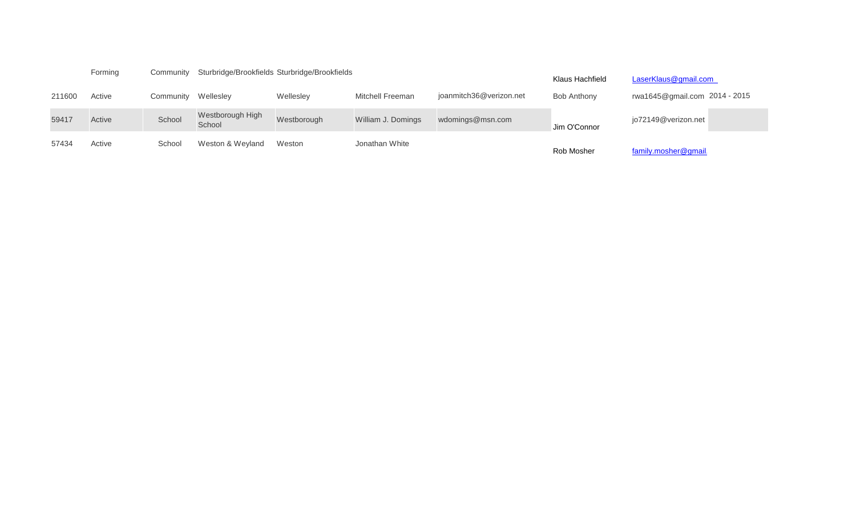|        | Forming | Community | Sturbridge/Brookfields Sturbridge/Brookfields |             |                         | Klaus Hachfield         | LaserKlaus@gmail.com |                               |
|--------|---------|-----------|-----------------------------------------------|-------------|-------------------------|-------------------------|----------------------|-------------------------------|
| 211600 | Active  | Community | Wellesley                                     | Wellesley   | <b>Mitchell Freeman</b> | joanmitch36@verizon.net | <b>Bob Anthony</b>   | rwa1645@gmail.com 2014 - 2015 |
| 59417  | Active  | School    | Westborough High<br>School                    | Westborough | William J. Domings      | wdomings@msn.com        | Jim O'Connor         | jo72149@verizon.net           |
| 57434  | Active  | School    | Weston & Weyland                              | Weston      | Jonathan White          |                         | Rob Mosher           | family.mosher@gmail.          |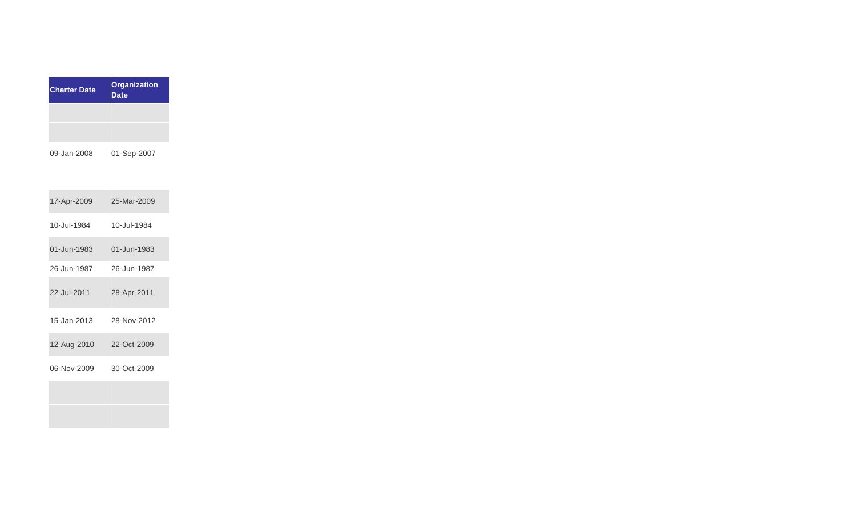| <b>Charter Date</b> | Organization<br><b>Date</b> |
|---------------------|-----------------------------|
|                     |                             |
|                     |                             |
|                     |                             |

09-Jan-2008 01-Sep-2007

| 17-Apr-2009 | 25-Mar-2009 |
|-------------|-------------|
| 10-Jul-1984 | 10-Jul-1984 |
| 01-Jun-1983 | 01-Jun-1983 |
| 26-Jun-1987 | 26-Jun-1987 |
| 22-Jul-2011 | 28-Apr-2011 |
| 15-Jan-2013 | 28-Nov-2012 |
| 12-Aug-2010 | 22-Oct-2009 |
| 06-Nov-2009 | 30-Oct-2009 |
|             |             |
|             |             |